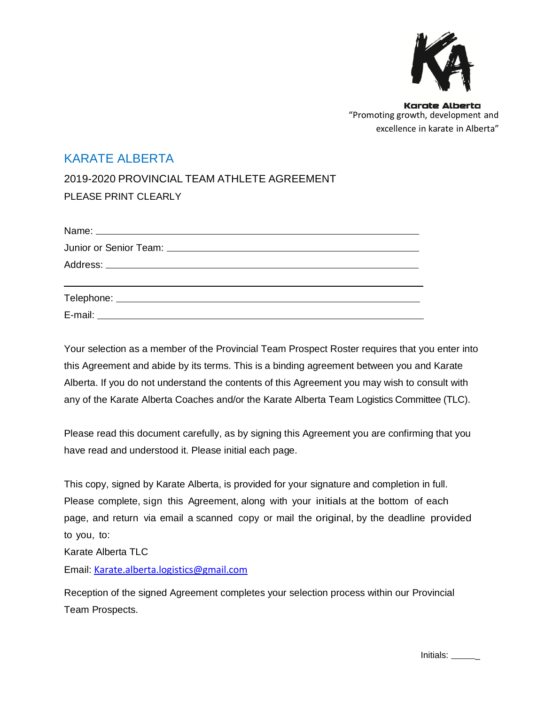

### KARATE ALBERTA

2019-2020 PROVINCIAL TEAM ATHLETE AGREEMENT PLEASE PRINT CLEARLY

Your selection as a member of the Provincial Team Prospect Roster requires that you enter into this Agreement and abide by its terms. This is a binding agreement between you and Karate Alberta. If you do not understand the contents of this Agreement you may wish to consult with any of the Karate Alberta Coaches and/or the Karate Alberta Team Logistics Committee (TLC).

Please read this document carefully, as by signing this Agreement you are confirming that you have read and understood it. Please initial each page.

This copy, signed by Karate Alberta, is provided for your signature and completion in full. Please complete, sign this Agreement, along with your initials at the bottom of each page, and return via email a scanned copy or mail the original, by the deadline provided to you, to:

Karate Alberta TLC

Email: [Karate.alberta.logistics@gmail.com](mailto:Karate.alberta.logistics@gmail.com)

Reception of the signed Agreement completes your selection process within our Provincial Team Prospects.

Initials: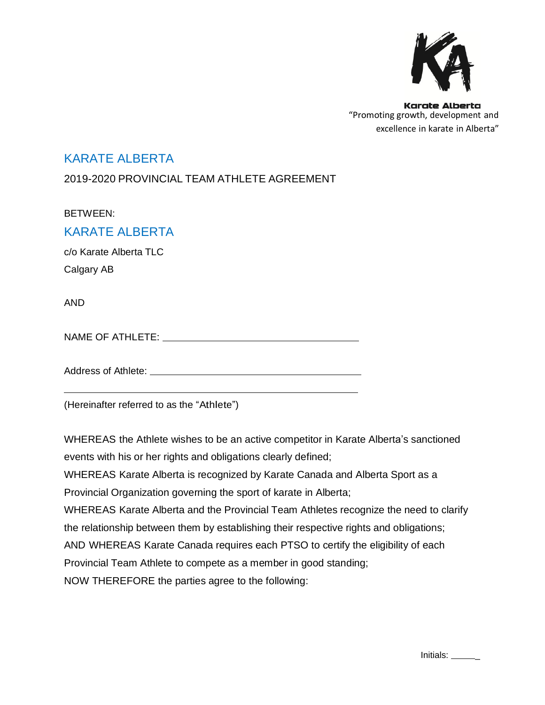

### KARATE ALBERTA

2019-2020 PROVINCIAL TEAM ATHLETE AGREEMENT

BETWEEN:

### KARATE ALBERTA

c/o Karate Alberta TLC Calgary AB

AND

NAME OF ATHLETE:

Address of Athlete:

(Hereinafter referred to as the "Athlete")

WHEREAS the Athlete wishes to be an active competitor in Karate Alberta's sanctioned events with his or her rights and obligations clearly defined;

WHEREAS Karate Alberta is recognized by Karate Canada and Alberta Sport as a Provincial Organization governing the sport of karate in Alberta;

WHEREAS Karate Alberta and the Provincial Team Athletes recognize the need to clarify

the relationship between them by establishing their respective rights and obligations;

AND WHEREAS Karate Canada requires each PTSO to certify the eligibility of each

Provincial Team Athlete to compete as a member in good standing;

NOW THEREFORE the parties agree to the following: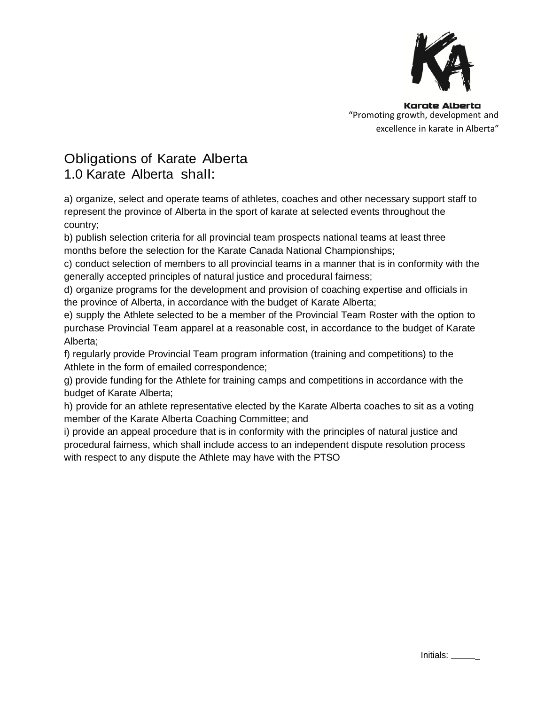

# Obligations of Karate Alberta 1.0 Karate Alberta shall:

a) organize, select and operate teams of athletes, coaches and other necessary support staff to represent the province of Alberta in the sport of karate at selected events throughout the country;

b) publish selection criteria for all provincial team prospects national teams at least three months before the selection for the Karate Canada National Championships;

c) conduct selection of members to all provincial teams in a manner that is in conformity with the generally accepted principles of natural justice and procedural fairness;

d) organize programs for the development and provision of coaching expertise and officials in the province of Alberta, in accordance with the budget of Karate Alberta;

e) supply the Athlete selected to be a member of the Provincial Team Roster with the option to purchase Provincial Team apparel at a reasonable cost, in accordance to the budget of Karate Alberta;

f) regularly provide Provincial Team program information (training and competitions) to the Athlete in the form of emailed correspondence;

g) provide funding for the Athlete for training camps and competitions in accordance with the budget of Karate Alberta;

h) provide for an athlete representative elected by the Karate Alberta coaches to sit as a voting member of the Karate Alberta Coaching Committee; and

i) provide an appeal procedure that is in conformity with the principles of natural justice and procedural fairness, which shall include access to an independent dispute resolution process with respect to any dispute the Athlete may have with the PTSO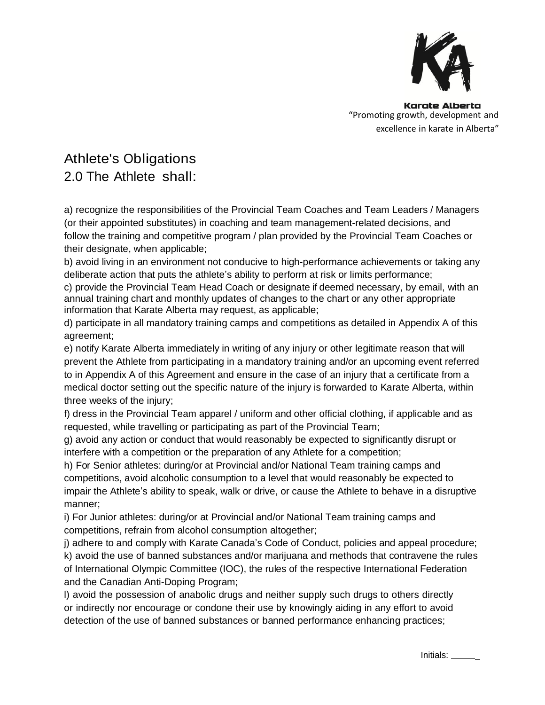

# Athlete's Obligations 2.0 The Athlete shall:

a) recognize the responsibilities of the Provincial Team Coaches and Team Leaders / Managers (or their appointed substitutes) in coaching and team management-related decisions, and follow the training and competitive program / plan provided by the Provincial Team Coaches or their designate, when applicable;

b) avoid living in an environment not conducive to high-performance achievements or taking any deliberate action that puts the athlete's ability to perform at risk or limits performance;

c) provide the Provincial Team Head Coach or designate if deemed necessary, by email, with an annual training chart and monthly updates of changes to the chart or any other appropriate information that Karate Alberta may request, as applicable;

d) participate in all mandatory training camps and competitions as detailed in Appendix A of this agreement;

e) notify Karate Alberta immediately in writing of any injury or other legitimate reason that will prevent the Athlete from participating in a mandatory training and/or an upcoming event referred to in Appendix A of this Agreement and ensure in the case of an injury that a certificate from a medical doctor setting out the specific nature of the injury is forwarded to Karate Alberta, within three weeks of the injury;

f) dress in the Provincial Team apparel / uniform and other official clothing, if applicable and as requested, while travelling or participating as part of the Provincial Team;

g) avoid any action or conduct that would reasonably be expected to significantly disrupt or interfere with a competition or the preparation of any Athlete for a competition;

h) For Senior athletes: during/or at Provincial and/or National Team training camps and competitions, avoid alcoholic consumption to a level that would reasonably be expected to impair the Athlete's ability to speak, walk or drive, or cause the Athlete to behave in a disruptive manner;

i) For Junior athletes: during/or at Provincial and/or National Team training camps and competitions, refrain from alcohol consumption altogether;

j) adhere to and comply with Karate Canada's Code of Conduct, policies and appeal procedure; k) avoid the use of banned substances and/or marijuana and methods that contravene the rules of International Olympic Committee (IOC), the rules of the respective International Federation and the Canadian Anti-Doping Program;

l) avoid the possession of anabolic drugs and neither supply such drugs to others directly or indirectly nor encourage or condone their use by knowingly aiding in any effort to avoid detection of the use of banned substances or banned performance enhancing practices;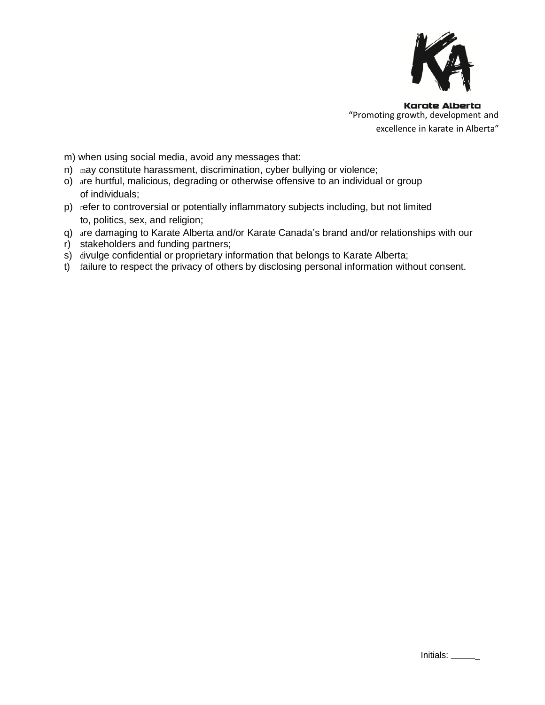

m) when using social media, avoid any messages that:

- n) may constitute harassment, discrimination, cyber bullying or violence;
- o) are hurtful, malicious, degrading or otherwise offensive to an individual or group of individuals;
- p) refer to controversial or potentially inflammatory subjects including, but not limited to, politics, sex, and religion;
- q) are damaging to Karate Alberta and/or Karate Canada's brand and/or relationships with our
- r) stakeholders and funding partners;
- s) divulge confidential or proprietary information that belongs to Karate Alberta;
- t) failure to respect the privacy of others by disclosing personal information without consent.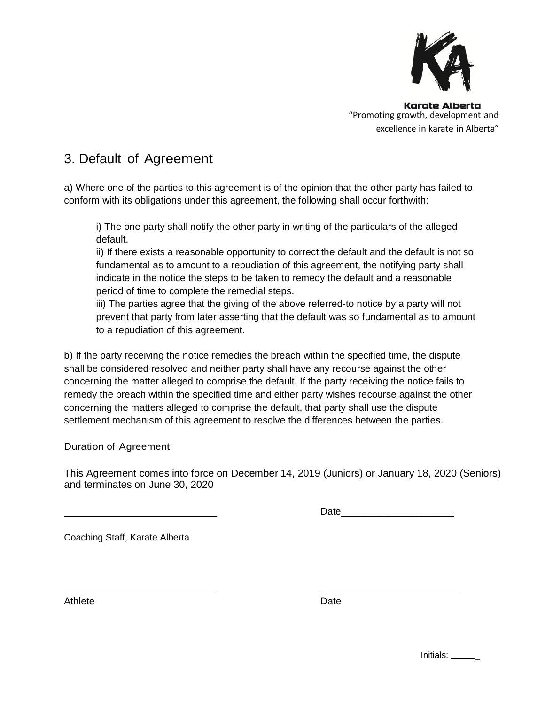

# 3. Default of Agreement

a) Where one of the parties to this agreement is of the opinion that the other party has failed to conform with its obligations under this agreement, the following shall occur forthwith:

i) The one party shall notify the other party in writing of the particulars of the alleged default.

ii) If there exists a reasonable opportunity to correct the default and the default is not so fundamental as to amount to a repudiation of this agreement, the notifying party shall indicate in the notice the steps to be taken to remedy the default and a reasonable period of time to complete the remedial steps.

iii) The parties agree that the giving of the above referred-to notice by a party will not prevent that party from later asserting that the default was so fundamental as to amount to a repudiation of this agreement.

b) If the party receiving the notice remedies the breach within the specified time, the dispute shall be considered resolved and neither party shall have any recourse against the other concerning the matter alleged to comprise the default. If the party receiving the notice fails to remedy the breach within the specified time and either party wishes recourse against the other concerning the matters alleged to comprise the default, that party shall use the dispute settlement mechanism of this agreement to resolve the differences between the parties.

Duration of Agreement

This Agreement comes into force on December 14, 2019 (Juniors) or January 18, 2020 (Seniors) and terminates on June 30, 2020

Date\_\_\_\_\_\_\_\_\_\_\_\_\_\_\_\_\_\_\_\_\_

Coaching Staff, Karate Alberta

Athlete Date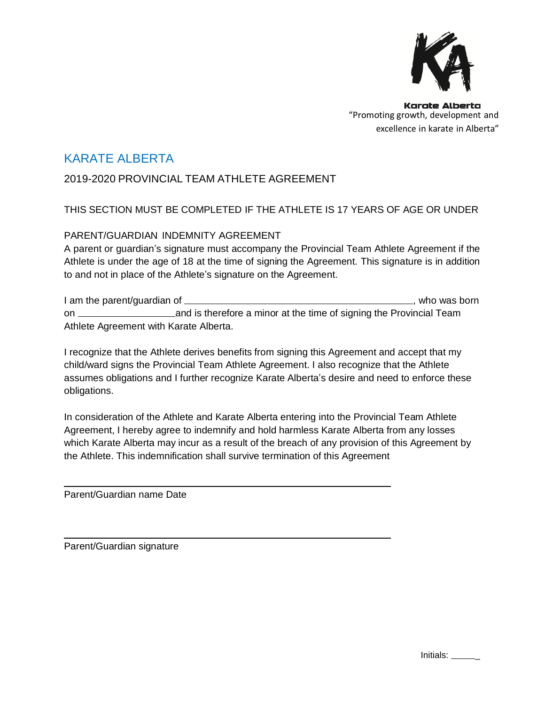

### KARATE ALBERTA

### 2019-2020 PROVINCIAL TEAM ATHLETE AGREEMENT

### THIS SECTION MUST BE COMPLETED IF THE ATHLETE IS 17 YEARS OF AGE OR UNDER

#### PARENT/GUARDIAN INDEMNITY AGREEMENT

A parent or guardian's signature must accompany the Provincial Team Athlete Agreement if the Athlete is under the age of 18 at the time of signing the Agreement. This signature is in addition to and not in place of the Athlete's signature on the Agreement.

I am the parent/quardian of  $\frac{1}{2}$  am the parent/quardian of  $\frac{1}{2}$  am in the parent/quardian of  $\frac{1}{2}$  and  $\frac{1}{2}$  and  $\frac{1}{2}$  and  $\frac{1}{2}$  and  $\frac{1}{2}$  and  $\frac{1}{2}$  and  $\frac{1}{2}$  and  $\frac{1}{2}$  and  $\frac{1}{2$ on and is therefore a minor at the time of signing the Provincial Team Athlete Agreement with Karate Alberta.

I recognize that the Athlete derives benefits from signing this Agreement and accept that my child/ward signs the Provincial Team Athlete Agreement. I also recognize that the Athlete assumes obligations and I further recognize Karate Alberta's desire and need to enforce these obligations.

In consideration of the Athlete and Karate Alberta entering into the Provincial Team Athlete Agreement, I hereby agree to indemnify and hold harmless Karate Alberta from any losses which Karate Alberta may incur as a result of the breach of any provision of this Agreement by the Athlete. This indemnification shall survive termination of this Agreement

Parent/Guardian name Date

Parent/Guardian signature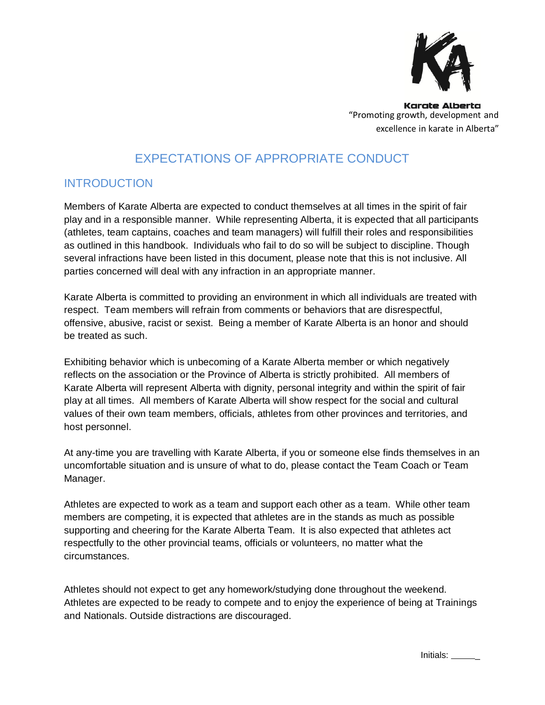

# EXPECTATIONS OF APPROPRIATE CONDUCT

### **INTRODUCTION**

Members of Karate Alberta are expected to conduct themselves at all times in the spirit of fair play and in a responsible manner. While representing Alberta, it is expected that all participants (athletes, team captains, coaches and team managers) will fulfill their roles and responsibilities as outlined in this handbook. Individuals who fail to do so will be subject to discipline. Though several infractions have been listed in this document, please note that this is not inclusive. All parties concerned will deal with any infraction in an appropriate manner.

Karate Alberta is committed to providing an environment in which all individuals are treated with respect. Team members will refrain from comments or behaviors that are disrespectful, offensive, abusive, racist or sexist. Being a member of Karate Alberta is an honor and should be treated as such.

Exhibiting behavior which is unbecoming of a Karate Alberta member or which negatively reflects on the association or the Province of Alberta is strictly prohibited. All members of Karate Alberta will represent Alberta with dignity, personal integrity and within the spirit of fair play at all times. All members of Karate Alberta will show respect for the social and cultural values of their own team members, officials, athletes from other provinces and territories, and host personnel.

At any-time you are travelling with Karate Alberta, if you or someone else finds themselves in an uncomfortable situation and is unsure of what to do, please contact the Team Coach or Team Manager.

Athletes are expected to work as a team and support each other as a team. While other team members are competing, it is expected that athletes are in the stands as much as possible supporting and cheering for the Karate Alberta Team. It is also expected that athletes act respectfully to the other provincial teams, officials or volunteers, no matter what the circumstances.

Athletes should not expect to get any homework/studying done throughout the weekend. Athletes are expected to be ready to compete and to enjoy the experience of being at Trainings and Nationals. Outside distractions are discouraged.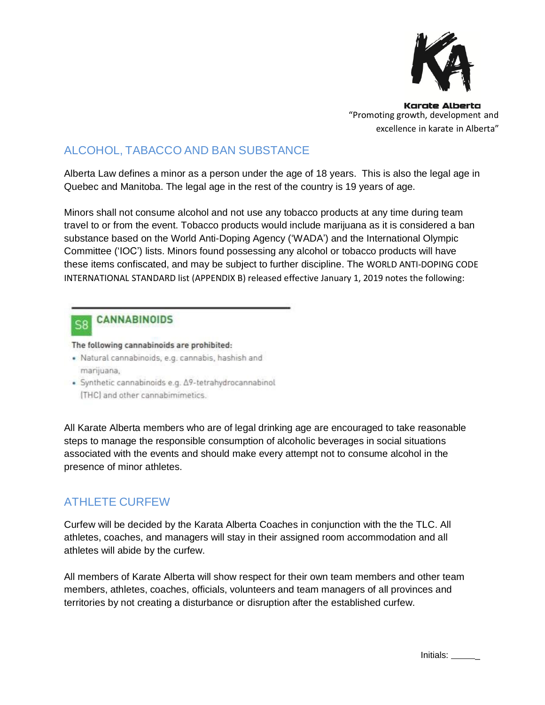

# ALCOHOL, TABACCO AND BAN SUBSTANCE

Alberta Law defines a minor as a person under the age of 18 years. This is also the legal age in Quebec and Manitoba. The legal age in the rest of the country is 19 years of age.

Minors shall not consume alcohol and not use any tobacco products at any time during team travel to or from the event. Tobacco products would include marijuana as it is considered a ban substance based on the World Anti-Doping Agency ('WADA') and the International Olympic Committee ('IOC') lists. Minors found possessing any alcohol or tobacco products will have these items confiscated, and may be subject to further discipline. The WORLD ANTI-DOPING CODE INTERNATIONAL STANDARD list (APPENDIX B) released effective January 1, 2019 notes the following:

#### **CANNABINOIDS**  $S$

The following cannabinoids are prohibited:

- · Natural cannabinoids, e.g. cannabis, hashish and marijuana,
- · Synthetic cannabinoids e.g.  $\Delta$ 9-tetrahydrocannabinol [THC] and other cannabimimetics.

All Karate Alberta members who are of legal drinking age are encouraged to take reasonable steps to manage the responsible consumption of alcoholic beverages in social situations associated with the events and should make every attempt not to consume alcohol in the presence of minor athletes.

### ATHLETE CURFEW

Curfew will be decided by the Karata Alberta Coaches in conjunction with the the TLC. All athletes, coaches, and managers will stay in their assigned room accommodation and all athletes will abide by the curfew.

All members of Karate Alberta will show respect for their own team members and other team members, athletes, coaches, officials, volunteers and team managers of all provinces and territories by not creating a disturbance or disruption after the established curfew.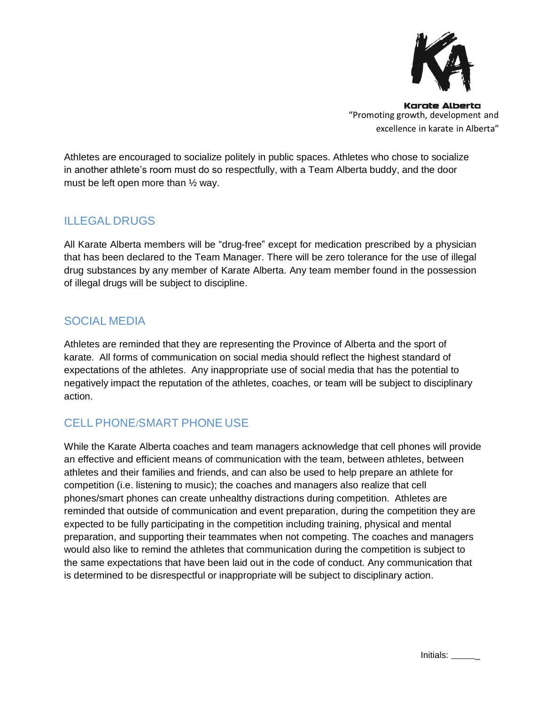

Athletes are encouraged to socialize politely in public spaces. Athletes who chose to socialize in another athlete's room must do so respectfully, with a Team Alberta buddy, and the door must be left open more than ½ way.

### ILLEGAL DRUGS

All Karate Alberta members will be "drug-free" except for medication prescribed by a physician that has been declared to the Team Manager. There will be zero tolerance for the use of illegal drug substances by any member of Karate Alberta. Any team member found in the possession of illegal drugs will be subject to discipline.

### SOCIAL MEDIA

Athletes are reminded that they are representing the Province of Alberta and the sport of karate. All forms of communication on social media should reflect the highest standard of expectations of the athletes. Any inappropriate use of social media that has the potential to negatively impact the reputation of the athletes, coaches, or team will be subject to disciplinary action.

### CELL PHONE/SMART PHONE USE

While the Karate Alberta coaches and team managers acknowledge that cell phones will provide an effective and efficient means of communication with the team, between athletes, between athletes and their families and friends, and can also be used to help prepare an athlete for competition (i.e. listening to music); the coaches and managers also realize that cell phones/smart phones can create unhealthy distractions during competition. Athletes are reminded that outside of communication and event preparation, during the competition they are expected to be fully participating in the competition including training, physical and mental preparation, and supporting their teammates when not competing. The coaches and managers would also like to remind the athletes that communication during the competition is subject to the same expectations that have been laid out in the code of conduct. Any communication that is determined to be disrespectful or inappropriate will be subject to disciplinary action.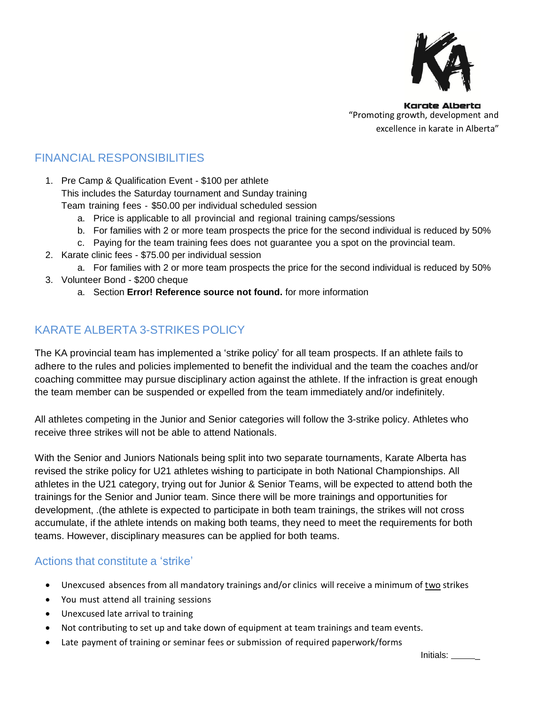

## FINANCIAL RESPONSIBILITIES

1. Pre Camp & Qualification Event - \$100 per athlete This includes the Saturday tournament and Sunday training Team training fees ‐ \$50.00 per individual scheduled session

- a. Price is applicable to all provincial and regional training camps/sessions
- b. For families with 2 or more team prospects the price for the second individual is reduced by 50%
- c. Paying for the team training fees does not guarantee you a spot on the provincial team.
- 2. Karate clinic fees \$75.00 per individual session
	- a. For families with 2 or more team prospects the price for the second individual is reduced by 50%
- 3. Volunteer Bond \$200 cheque
	- a. Section **Error! Reference source not found.** for more information

### KARATE ALBERTA 3-STRIKES POLICY

The KA provincial team has implemented a 'strike policy' for all team prospects. If an athlete fails to adhere to the rules and policies implemented to benefit the individual and the team the coaches and/or coaching committee may pursue disciplinary action against the athlete. If the infraction is great enough the team member can be suspended or expelled from the team immediately and/or indefinitely.

All athletes competing in the Junior and Senior categories will follow the 3-strike policy. Athletes who receive three strikes will not be able to attend Nationals.

With the Senior and Juniors Nationals being split into two separate tournaments, Karate Alberta has revised the strike policy for U21 athletes wishing to participate in both National Championships. All athletes in the U21 category, trying out for Junior & Senior Teams, will be expected to attend both the trainings for the Senior and Junior team. Since there will be more trainings and opportunities for development, .(the athlete is expected to participate in both team trainings, the strikes will not cross accumulate, if the athlete intends on making both teams, they need to meet the requirements for both teams. However, disciplinary measures can be applied for both teams.

#### Actions that constitute a 'strike'

- Unexcused absences from all mandatory trainings and/or clinics will receive a minimum of two strikes
- You must attend all training sessions
- Unexcused late arrival to training
- Not contributing to set up and take down of equipment at team trainings and team events.
- Late payment of training or seminar fees or submission of required paperwork/forms